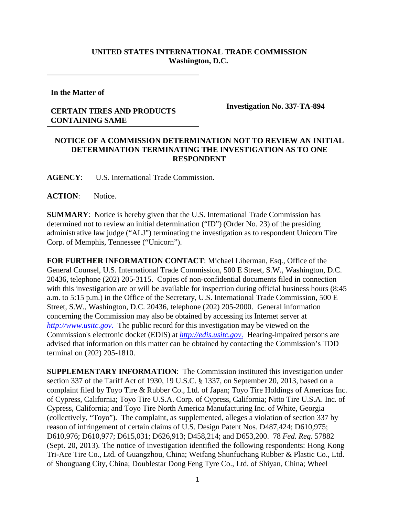## **UNITED STATES INTERNATIONAL TRADE COMMISSION Washington, D.C.**

**In the Matter of**

## **CERTAIN TIRES AND PRODUCTS CONTAINING SAME**

**Investigation No. 337-TA-894**

## **NOTICE OF A COMMISSION DETERMINATION NOT TO REVIEW AN INITIAL DETERMINATION TERMINATING THE INVESTIGATION AS TO ONE RESPONDENT**

**AGENCY**: U.S. International Trade Commission.

**ACTION**: Notice.

**SUMMARY**: Notice is hereby given that the U.S. International Trade Commission has determined not to review an initial determination ("ID") (Order No. 23) of the presiding administrative law judge ("ALJ") terminating the investigation as to respondent Unicorn Tire Corp. of Memphis, Tennessee ("Unicorn").

**FOR FURTHER INFORMATION CONTACT**: Michael Liberman, Esq., Office of the General Counsel, U.S. International Trade Commission, 500 E Street, S.W., Washington, D.C. 20436, telephone (202) 205-3115. Copies of non-confidential documents filed in connection with this investigation are or will be available for inspection during official business hours (8:45 a.m. to 5:15 p.m.) in the Office of the Secretary, U.S. International Trade Commission, 500 E Street, S.W., Washington, D.C. 20436, telephone (202) 205-2000. General information concerning the Commission may also be obtained by accessing its Internet server at *http://www.usitc.gov*. The public record for this investigation may be viewed on the Commission's electronic docket (EDIS) at *http://edis.usitc.gov*. Hearing-impaired persons are advised that information on this matter can be obtained by contacting the Commission's TDD terminal on (202) 205-1810.

**SUPPLEMENTARY INFORMATION**: The Commission instituted this investigation under section 337 of the Tariff Act of 1930, 19 U.S.C. § 1337, on September 20, 2013, based on a complaint filed by Toyo Tire & Rubber Co., Ltd. of Japan; Toyo Tire Holdings of Americas Inc. of Cypress, California; Toyo Tire U.S.A. Corp. of Cypress, California; Nitto Tire U.S.A. Inc. of Cypress, California; and Toyo Tire North America Manufacturing Inc. of White, Georgia (collectively, "Toyo"). The complaint, as supplemented, alleges a violation of section 337 by reason of infringement of certain claims of U.S. Design Patent Nos. D487,424; D610,975; D610,976; D610,977; D615,031; D626,913; D458,214; and D653,200. 78 *Fed. Reg.* 57882 (Sept. 20, 2013). The notice of investigation identified the following respondents: Hong Kong Tri-Ace Tire Co., Ltd. of Guangzhou, China; Weifang Shunfuchang Rubber & Plastic Co., Ltd. of Shouguang City, China; Doublestar Dong Feng Tyre Co., Ltd. of Shiyan, China; Wheel